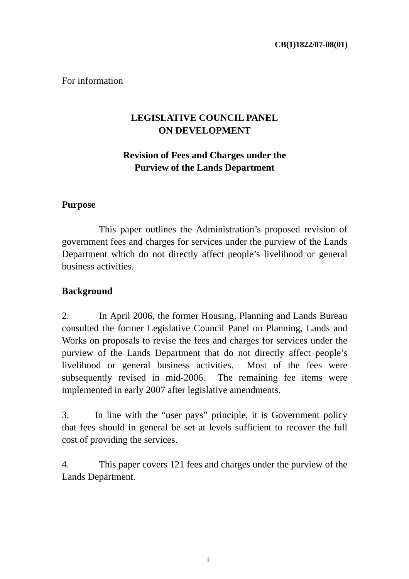For information

# **LEGISLATIVE COUNCIL PANEL ON DEVELOPMENT**

# **Revision of Fees and Charges under the Purview of the Lands Department**

### **Purpose**

 This paper outlines the Administration's proposed revision of government fees and charges for services under the purview of the Lands Department which do not directly affect people's livelihood or general business activities.

# **Background**

2. In April 2006, the former Housing, Planning and Lands Bureau consulted the former Legislative Council Panel on Planning, Lands and Works on proposals to revise the fees and charges for services under the purview of the Lands Department that do not directly affect people's livelihood or general business activities. Most of the fees were subsequently revised in mid-2006. The remaining fee items were implemented in early 2007 after legislative amendments.

3. In line with the "user pays" principle, it is Government policy that fees should in general be set at levels sufficient to recover the full cost of providing the services.

4. This paper covers 121 fees and charges under the purview of the Lands Department.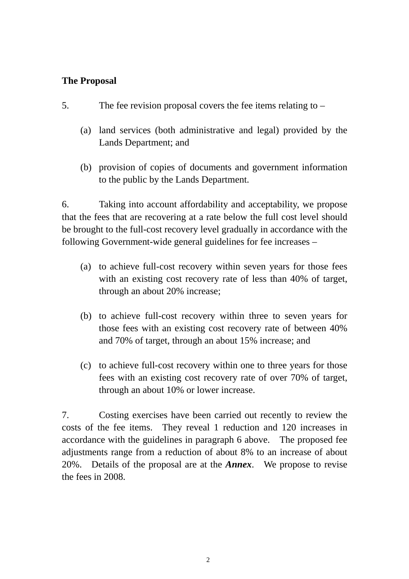### **The Proposal**

- 5. The fee revision proposal covers the fee items relating to
	- (a) land services (both administrative and legal) provided by the Lands Department; and
	- (b) provision of copies of documents and government information to the public by the Lands Department.

6. Taking into account affordability and acceptability, we propose that the fees that are recovering at a rate below the full cost level should be brought to the full-cost recovery level gradually in accordance with the following Government-wide general guidelines for fee increases –

- (a) to achieve full-cost recovery within seven years for those fees with an existing cost recovery rate of less than 40% of target, through an about 20% increase;
- (b) to achieve full-cost recovery within three to seven years for those fees with an existing cost recovery rate of between 40% and 70% of target, through an about 15% increase; and
- (c) to achieve full-cost recovery within one to three years for those fees with an existing cost recovery rate of over 70% of target, through an about 10% or lower increase.

7. Costing exercises have been carried out recently to review the costs of the fee items. They reveal 1 reduction and 120 increases in accordance with the guidelines in paragraph 6 above. The proposed fee adjustments range from a reduction of about 8% to an increase of about 20%. Details of the proposal are at the *Annex*. We propose to revise the fees in 2008.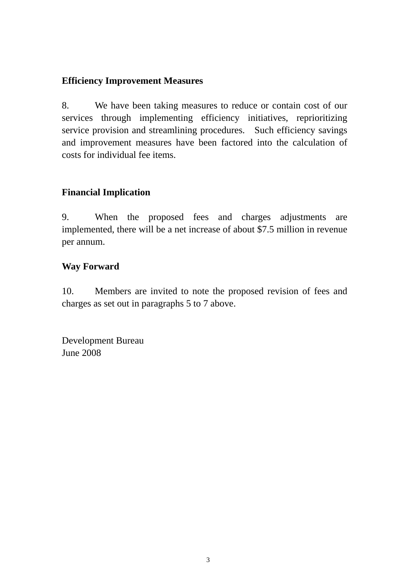### **Efficiency Improvement Measures**

8. We have been taking measures to reduce or contain cost of our services through implementing efficiency initiatives, reprioritizing service provision and streamlining procedures. Such efficiency savings and improvement measures have been factored into the calculation of costs for individual fee items.

## **Financial Implication**

9. When the proposed fees and charges adjustments are implemented, there will be a net increase of about \$7.5 million in revenue per annum.

### **Way Forward**

10. Members are invited to note the proposed revision of fees and charges as set out in paragraphs 5 to 7 above.

Development Bureau June 2008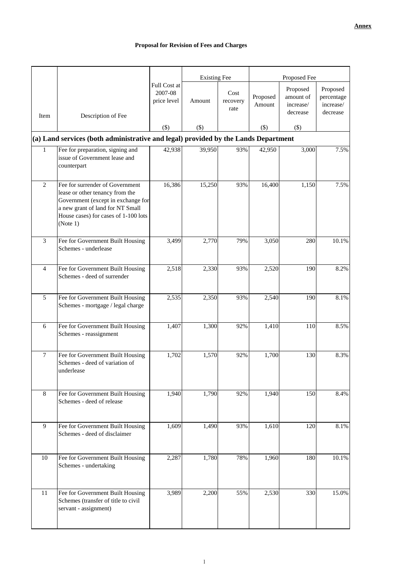|                |                                                                                                                                                                                                  |                                        | <b>Existing Fee</b> |                          |                    | Proposed Fee                                   |                                                 |
|----------------|--------------------------------------------------------------------------------------------------------------------------------------------------------------------------------------------------|----------------------------------------|---------------------|--------------------------|--------------------|------------------------------------------------|-------------------------------------------------|
| Item           | Description of Fee                                                                                                                                                                               | Full Cost at<br>2007-08<br>price level | Amount              | Cost<br>recovery<br>rate | Proposed<br>Amount | Proposed<br>amount of<br>increase/<br>decrease | Proposed<br>percentage<br>increase/<br>decrease |
|                |                                                                                                                                                                                                  | $(\$)$                                 | $(\$)$              |                          | $(\$)$             | $(\$)$                                         |                                                 |
|                | (a) Land services (both administrative and legal) provided by the Lands Department                                                                                                               |                                        |                     |                          |                    |                                                |                                                 |
| $\mathbf{1}$   | Fee for preparation, signing and<br>issue of Government lease and<br>counterpart                                                                                                                 | 42,938                                 | 39,950              | 93%                      | 42,950             | 3,000                                          | 7.5%                                            |
| 2              | Fee for surrender of Government<br>lease or other tenancy from the<br>Government (except in exchange for<br>a new grant of land for NT Small<br>House cases) for cases of 1-100 lots<br>(Note 1) | 16,386                                 | 15,250              | 93%                      | 16,400             | 1,150                                          | 7.5%                                            |
| 3              | Fee for Government Built Housing<br>Schemes - underlease                                                                                                                                         | 3,499                                  | 2,770               | 79%                      | 3,050              | 280                                            | 10.1%                                           |
| $\overline{4}$ | Fee for Government Built Housing<br>Schemes - deed of surrender                                                                                                                                  | 2,518                                  | 2,330               | 93%                      | 2,520              | 190                                            | 8.2%                                            |
| 5              | Fee for Government Built Housing<br>Schemes - mortgage / legal charge                                                                                                                            | 2,535                                  | 2,350               | 93%                      | 2,540              | 190                                            | 8.1%                                            |
| 6              | Fee for Government Built Housing<br>Schemes - reassignment                                                                                                                                       | 1,407                                  | 1,300               | 92%                      | 1,410              | 110                                            | 8.5%                                            |
| $\overline{7}$ | Fee for Government Built Housing<br>Schemes - deed of variation of<br>underlease                                                                                                                 | 1,702                                  | 1,570               | 92%                      | 1,700              | 130                                            | 8.3%                                            |
| 8              | Fee for Government Built Housing<br>Schemes - deed of release                                                                                                                                    | 1,940                                  | 1,790               | 92%                      | 1,940              | 150                                            | 8.4%                                            |
| 9              | Fee for Government Built Housing<br>Schemes - deed of disclaimer                                                                                                                                 | 1,609                                  | 1,490               | 93%                      | 1,610              | 120                                            | 8.1%                                            |
| 10             | Fee for Government Built Housing<br>Schemes - undertaking                                                                                                                                        | 2,287                                  | 1,780               | 78%                      | 1,960              | 180                                            | 10.1%                                           |
| 11             | Fee for Government Built Housing<br>Schemes (transfer of title to civil<br>servant - assignment)                                                                                                 | 3,989                                  | 2,200               | 55%                      | 2,530              | 330                                            | 15.0%                                           |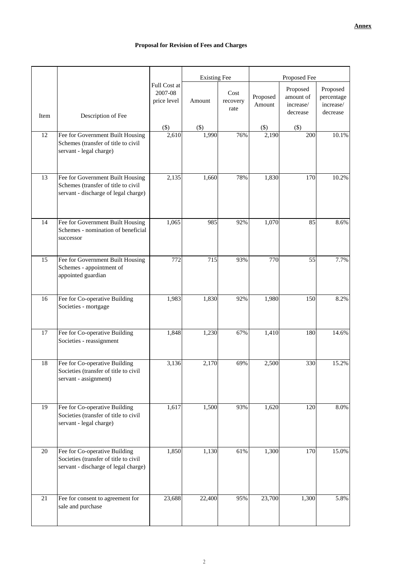|      |                                                                                                                 |                                        | <b>Existing Fee</b> |                          | Proposed Fee       |                                                |                                                 |
|------|-----------------------------------------------------------------------------------------------------------------|----------------------------------------|---------------------|--------------------------|--------------------|------------------------------------------------|-------------------------------------------------|
|      |                                                                                                                 | Full Cost at<br>2007-08<br>price level | Amount              | Cost<br>recovery<br>rate | Proposed<br>Amount | Proposed<br>amount of<br>increase/<br>decrease | Proposed<br>percentage<br>increase/<br>decrease |
| Item | Description of Fee                                                                                              |                                        |                     |                          |                    |                                                |                                                 |
| 12   | Fee for Government Built Housing<br>Schemes (transfer of title to civil<br>servant - legal charge)              | $(\$)$<br>2,610                        | $(\$)$<br>1,990     | 76%                      | $(\$)$<br>2,190    | $(\$)$<br>200                                  | 10.1%                                           |
| 13   | Fee for Government Built Housing<br>Schemes (transfer of title to civil<br>servant - discharge of legal charge) | 2,135                                  | 1,660               | 78%                      | 1,830              | 170                                            | 10.2%                                           |
| 14   | Fee for Government Built Housing<br>Schemes - nomination of beneficial<br>successor                             | 1,065                                  | 985                 | 92%                      | 1,070              | 85                                             | 8.6%                                            |
| 15   | Fee for Government Built Housing<br>Schemes - appointment of<br>appointed guardian                              | 772                                    | 715                 | 93%                      | 770                | 55                                             | 7.7%                                            |
| 16   | Fee for Co-operative Building<br>Societies - mortgage                                                           | 1,983                                  | 1,830               | 92%                      | 1,980              | 150                                            | 8.2%                                            |
| 17   | Fee for Co-operative Building<br>Societies - reassignment                                                       | 1,848                                  | 1,230               | 67%                      | 1,410              | 180                                            | 14.6%                                           |
| 18   | Fee for Co-operative Building<br>Societies (transfer of title to civil<br>servant - assignment)                 | 3,136                                  | 2,170               | 69%                      | 2,500              | 330                                            | 15.2%                                           |
| 19   | Fee for Co-operative Building<br>Societies (transfer of title to civil<br>servant - legal charge)               | 1,617                                  | 1,500               | 93%                      | 1,620              | 120                                            | $8.0\%$                                         |
| 20   | Fee for Co-operative Building<br>Societies (transfer of title to civil<br>servant - discharge of legal charge)  | 1,850                                  | 1,130               | 61%                      | 1,300              | 170                                            | 15.0%                                           |
| 21   | Fee for consent to agreement for<br>sale and purchase                                                           | 23,688                                 | 22,400              | 95%                      | 23,700             | 1,300                                          | 5.8%                                            |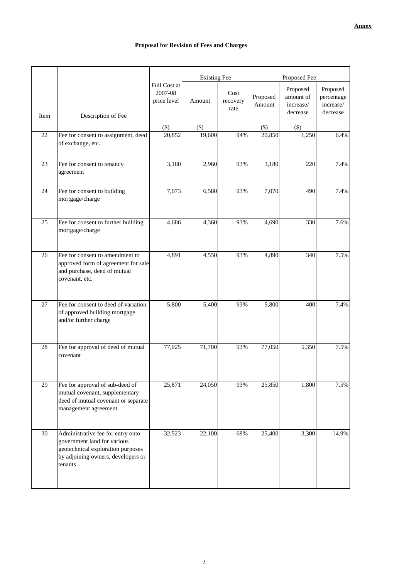|      |                                                                                                                                                        |                                        | <b>Existing Fee</b> |                          |                    | Proposed Fee                                   |                                                 |
|------|--------------------------------------------------------------------------------------------------------------------------------------------------------|----------------------------------------|---------------------|--------------------------|--------------------|------------------------------------------------|-------------------------------------------------|
| Item | Description of Fee                                                                                                                                     | Full Cost at<br>2007-08<br>price level | Amount              | Cost<br>recovery<br>rate | Proposed<br>Amount | Proposed<br>amount of<br>increase/<br>decrease | Proposed<br>percentage<br>increase/<br>decrease |
|      |                                                                                                                                                        | \$)                                    | $(\$)$              |                          | $(\$)$             | $($ \$ $)$                                     |                                                 |
| 22   | Fee for consent to assignment, deed<br>of exchange, etc.                                                                                               | 20,852                                 | 19,600              | 94%                      | 20,850             | 1,250                                          | 6.4%                                            |
| 23   | Fee for consent to tenancy<br>agreement                                                                                                                | 3,180                                  | 2,960               | 93%                      | 3,180              | 220                                            | 7.4%                                            |
| 24   | Fee for consent to building<br>mortgage/charge                                                                                                         | 7,073                                  | 6,580               | 93%                      | 7,070              | 490                                            | 7.4%                                            |
| 25   | Fee for consent to further building<br>mortgage/charge                                                                                                 | 4,686                                  | 4,360               | 93%                      | 4,690              | 330                                            | 7.6%                                            |
| 26   | Fee for consent to amendment to<br>approved form of agreement for sale<br>and purchase, deed of mutual<br>covenant, etc.                               | 4,891                                  | 4,550               | 93%                      | 4,890              | 340                                            | 7.5%                                            |
| 27   | Fee for consent to deed of variation<br>of approved building mortgage<br>and/or further charge                                                         | 5,800                                  | 5,400               | 93%                      | 5,800              | 400                                            | 7.4%                                            |
| 28   | Fee for approval of deed of mutual<br>covenant                                                                                                         | 77,025                                 | 71,700              | 93%                      | 77,050             | 5,350                                          | 7.5%                                            |
| 29   | Fee for approval of sub-deed of<br>mutual covenant, supplementary<br>deed of mutual covenant or separate<br>management agreement                       | 25,871                                 | 24,050              | 93%                      | 25,850             | 1,800                                          | 7.5%                                            |
| 30   | Administrative fee for entry onto<br>government land for various<br>geotechnical exploration purposes<br>by adjoining owners, developers or<br>tenants | 32,523                                 | 22,100              | 68%                      | 25,400             | 3,300                                          | 14.9%                                           |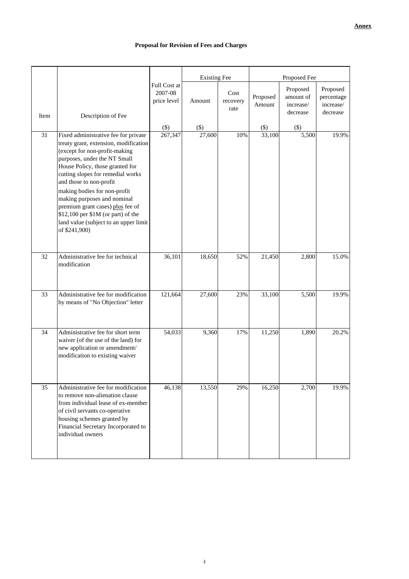|      |                                                                                                                                                                                                                                                                                                                                                                                                                                                      |                                        | <b>Existing Fee</b> |                          |                    | Proposed Fee                                   |                                                 |
|------|------------------------------------------------------------------------------------------------------------------------------------------------------------------------------------------------------------------------------------------------------------------------------------------------------------------------------------------------------------------------------------------------------------------------------------------------------|----------------------------------------|---------------------|--------------------------|--------------------|------------------------------------------------|-------------------------------------------------|
| Item | Description of Fee                                                                                                                                                                                                                                                                                                                                                                                                                                   | Full Cost at<br>2007-08<br>price level | Amount              | Cost<br>recovery<br>rate | Proposed<br>Amount | Proposed<br>amount of<br>increase/<br>decrease | Proposed<br>percentage<br>increase/<br>decrease |
|      |                                                                                                                                                                                                                                                                                                                                                                                                                                                      | $(\$)$                                 | $(\$)$              |                          | $(\$)$             | $(\$)$                                         |                                                 |
| 31   | Fixed administrative fee for private<br>treaty grant, extension, modification<br>(except for non-profit-making<br>purposes, under the NT Small<br>House Policy, those granted for<br>cutting slopes for remedial works<br>and those to non-profit<br>making bodies for non-profit<br>making purposes and nominal<br>premium grant cases) plus fee of<br>\$12,100 per \$1M (or part) of the<br>land value (subject to an upper limit<br>of \$241,900) | 267,347                                | 27,600              | 10%                      | 33,100             | 5,500                                          | 19.9%                                           |
| 32   | Administrative fee for technical<br>modification                                                                                                                                                                                                                                                                                                                                                                                                     | 36,101                                 | 18,650              | 52%                      | 21,450             | 2,800                                          | 15.0%                                           |
| 33   | Administrative fee for modification<br>by means of "No Objection" letter                                                                                                                                                                                                                                                                                                                                                                             | 121,664                                | 27,600              | 23%                      | 33,100             | 5,500                                          | 19.9%                                           |
| 34   | Administrative fee for short term<br>waiver (of the use of the land) for<br>new application or amendment/<br>modification to existing waiver                                                                                                                                                                                                                                                                                                         | 54,033                                 | 9,360               | 17%                      | 11,250             | 1,890                                          | 20.2%                                           |
| 35   | Administrative fee for modification<br>to remove non-alienation clause<br>from individual lease of ex-member<br>of civil servants co-operative<br>housing schemes granted by<br>Financial Secretary Incorporated to<br>individual owners                                                                                                                                                                                                             | 46,138                                 | 13,550              | 29%                      | 16,250             | 2,700                                          | 19.9%                                           |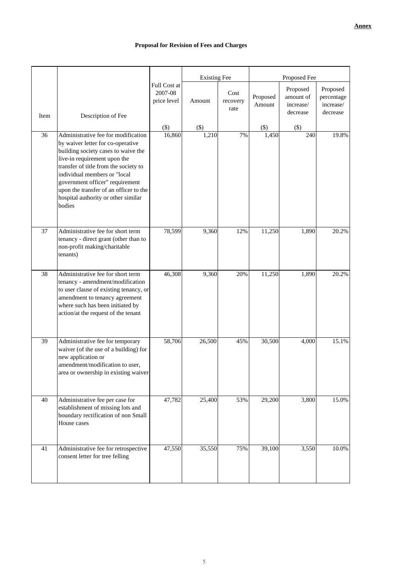|      |                                                                                                                                                                                                                                                                                                                                                        |                                        | <b>Existing Fee</b> |                          | Proposed Fee       |                                                |                                                 |
|------|--------------------------------------------------------------------------------------------------------------------------------------------------------------------------------------------------------------------------------------------------------------------------------------------------------------------------------------------------------|----------------------------------------|---------------------|--------------------------|--------------------|------------------------------------------------|-------------------------------------------------|
| Item | Description of Fee                                                                                                                                                                                                                                                                                                                                     | Full Cost at<br>2007-08<br>price level | Amount              | Cost<br>recovery<br>rate | Proposed<br>Amount | Proposed<br>amount of<br>increase/<br>decrease | Proposed<br>percentage<br>increase/<br>decrease |
|      |                                                                                                                                                                                                                                                                                                                                                        | $(\$)$                                 | $($ \$)             |                          | $($ \$)            | $($ \$)                                        |                                                 |
| 36   | Administrative fee for modification<br>by waiver letter for co-operative<br>building society cases to waive the<br>live-in requirement upon the<br>transfer of title from the society to<br>individual members or "local<br>government officer" requirement<br>upon the transfer of an officer to the<br>hospital authority or other similar<br>bodies | 16,860                                 | 1,210               | 7%                       | 1,450              | 240                                            | 19.8%                                           |
| 37   | Administrative fee for short term<br>tenancy - direct grant (other than to<br>non-profit making/charitable<br>tenants)                                                                                                                                                                                                                                 | 78,599                                 | 9,360               | 12%                      | 11,250             | 1,890                                          | 20.2%                                           |
| 38   | Administrative fee for short term<br>tenancy - amendment/modification<br>to user clause of existing tenancy, or<br>amendment to tenancy agreement<br>where such has been initiated by<br>action/at the request of the tenant                                                                                                                           | 46,308                                 | 9,360               | 20%                      | 11,250             | 1,890                                          | 20.2%                                           |
| 39   | Administrative fee for temporary<br>waiver (of the use of a building) for<br>new application or<br>amendment/modification to user,<br>area or ownership in existing waiver                                                                                                                                                                             | 58,706                                 | 26,500              | 45%                      | 30,500             | 4,000                                          | 15.1%                                           |
| 40   | Administrative fee per case for<br>establishment of missing lots and<br>boundary rectification of non Small<br>House cases                                                                                                                                                                                                                             | 47,782                                 | 25,400              | 53%                      | 29,200             | 3,800                                          | 15.0%                                           |
| 41   | Administrative fee for retrospective<br>consent letter for tree felling                                                                                                                                                                                                                                                                                | 47,550                                 | 35,550              | 75%                      | 39,100             | 3,550                                          | 10.0%                                           |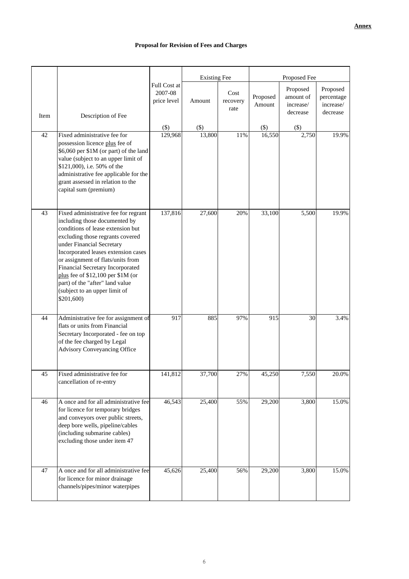|      |                                                                                                                                                                                                                                                                                                                                                                                                                    |                                        | <b>Existing Fee</b> |                          | Proposed Fee       |                                                |                                                 |
|------|--------------------------------------------------------------------------------------------------------------------------------------------------------------------------------------------------------------------------------------------------------------------------------------------------------------------------------------------------------------------------------------------------------------------|----------------------------------------|---------------------|--------------------------|--------------------|------------------------------------------------|-------------------------------------------------|
| Item | Description of Fee                                                                                                                                                                                                                                                                                                                                                                                                 | Full Cost at<br>2007-08<br>price level | Amount              | Cost<br>recovery<br>rate | Proposed<br>Amount | Proposed<br>amount of<br>increase/<br>decrease | Proposed<br>percentage<br>increase/<br>decrease |
|      |                                                                                                                                                                                                                                                                                                                                                                                                                    | $(\$)$                                 | $($ \$)             |                          | $($ \$)            | $($ \$)                                        |                                                 |
| 42   | Fixed administrative fee for<br>possession licence plus fee of<br>\$6,060 per \$1M (or part) of the land<br>value (subject to an upper limit of<br>\$121,000), i.e. 50% of the<br>administrative fee applicable for the<br>grant assessed in relation to the<br>capital sum (premium)                                                                                                                              | 129,968                                | 13,800              | 11%                      | 16,550             | 2,750                                          | 19.9%                                           |
| 43   | Fixed administrative fee for regrant<br>including those documented by<br>conditions of lease extension but<br>excluding those regrants covered<br>under Financial Secretary<br>Incorporated leases extension cases<br>or assignment of flats/units from<br>Financial Secretary Incorporated<br>plus fee of \$12,100 per \$1M (or<br>part) of the "after" land value<br>(subject to an upper limit of<br>\$201,600) | 137,816                                | 27,600              | 20%                      | 33,100             | 5,500                                          | 19.9%                                           |
| 44   | Administrative fee for assignment of<br>flats or units from Financial<br>Secretary Incorporated - fee on top<br>of the fee charged by Legal<br><b>Advisory Conveyancing Office</b>                                                                                                                                                                                                                                 | 917                                    | 885                 | 97%                      | 915                | 30                                             | 3.4%                                            |
| 45   | Fixed administrative fee for<br>cancellation of re-entry                                                                                                                                                                                                                                                                                                                                                           | 141,812                                | 37,700              | 27%                      | 45,250             | 7,550                                          | 20.0%                                           |
| 46   | A once and for all administrative fee<br>for licence for temporary bridges<br>and conveyors over public streets,<br>deep bore wells, pipeline/cables<br>(including submarine cables)<br>excluding those under item 47                                                                                                                                                                                              | 46,543                                 | 25,400              | 55%                      | 29,200             | 3,800                                          | 15.0%                                           |
| 47   | A once and for all administrative fee<br>for licence for minor drainage<br>channels/pipes/minor waterpipes                                                                                                                                                                                                                                                                                                         | 45,626                                 | 25,400              | 56%                      | 29,200             | 3,800                                          | 15.0%                                           |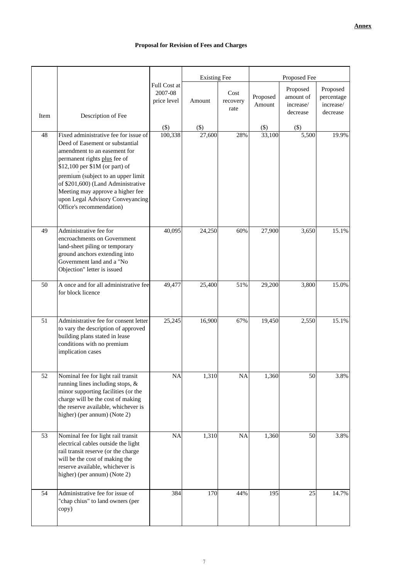|      |                                                                                                                                                                                                                                                                                                                                                            |                                        | <b>Existing Fee</b> |                          | Proposed Fee       |                                                |                                                 |
|------|------------------------------------------------------------------------------------------------------------------------------------------------------------------------------------------------------------------------------------------------------------------------------------------------------------------------------------------------------------|----------------------------------------|---------------------|--------------------------|--------------------|------------------------------------------------|-------------------------------------------------|
|      |                                                                                                                                                                                                                                                                                                                                                            | Full Cost at<br>2007-08<br>price level | Amount              | Cost<br>recovery<br>rate | Proposed<br>Amount | Proposed<br>amount of<br>increase/<br>decrease | Proposed<br>percentage<br>increase/<br>decrease |
| Item | Description of Fee                                                                                                                                                                                                                                                                                                                                         | \$)                                    | $($ \$              |                          | $(\$)$             | $($ \$                                         |                                                 |
| 48   | Fixed administrative fee for issue of<br>Deed of Easement or substantial<br>amendment to an easement for<br>permanent rights plus fee of<br>\$12,100 per \$1M (or part) of<br>premium (subject to an upper limit<br>of \$201,600) (Land Administrative<br>Meeting may approve a higher fee<br>upon Legal Advisory Conveyancing<br>Office's recommendation) | 100,338                                | 27,600              | 28%                      | 33,100             | 5,500                                          | 19.9%                                           |
| 49   | Administrative fee for<br>encroachments on Government<br>land-sheet piling or temporary<br>ground anchors extending into<br>Government land and a "No<br>Objection" letter is issued                                                                                                                                                                       | 40,095                                 | 24,250              | 60%                      | 27,900             | 3,650                                          | 15.1%                                           |
| 50   | A once and for all administrative fee<br>for block licence                                                                                                                                                                                                                                                                                                 | 49,477                                 | 25,400              | 51%                      | 29,200             | 3,800                                          | 15.0%                                           |
| 51   | Administrative fee for consent letter<br>to vary the description of approved<br>building plans stated in lease<br>conditions with no premium<br>implication cases                                                                                                                                                                                          | 25,245                                 | 16,900              | 67%                      | 19,450             | 2,550                                          | 15.1%                                           |
| 52   | Nominal fee for light rail transit<br>running lines including stops, &<br>minor supporting facilities (or the<br>charge will be the cost of making<br>the reserve available, whichever is<br>higher) (per annum) (Note 2)                                                                                                                                  | NA                                     | 1,310               | NA                       | 1,360              | 50                                             | 3.8%                                            |
| 53   | Nominal fee for light rail transit<br>electrical cables outside the light<br>rail transit reserve (or the charge<br>will be the cost of making the<br>reserve available, whichever is<br>higher) (per annum) (Note 2)                                                                                                                                      | <b>NA</b>                              | 1,310               | <b>NA</b>                | 1,360              | 50                                             | 3.8%                                            |
| 54   | Administrative fee for issue of<br>"chap chius" to land owners (per<br>copy)                                                                                                                                                                                                                                                                               | 384                                    | 170                 | 44%                      | 195                | 25                                             | 14.7%                                           |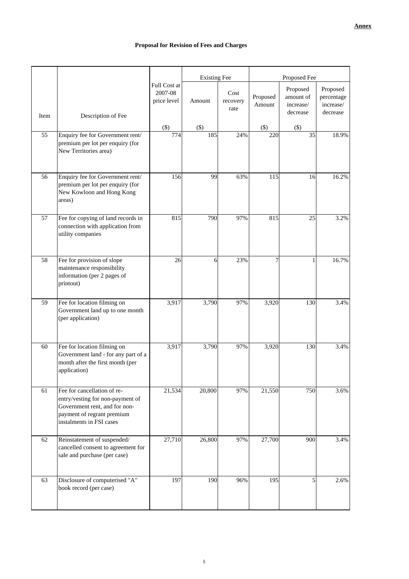|      |                                                                                                                                                            |                                        | <b>Existing Fee</b> |                          | Proposed Fee       |                                                |                                                 |
|------|------------------------------------------------------------------------------------------------------------------------------------------------------------|----------------------------------------|---------------------|--------------------------|--------------------|------------------------------------------------|-------------------------------------------------|
| Item |                                                                                                                                                            | Full Cost at<br>2007-08<br>price level | Amount              | Cost<br>recovery<br>rate | Proposed<br>Amount | Proposed<br>amount of<br>increase/<br>decrease | Proposed<br>percentage<br>increase/<br>decrease |
|      | Description of Fee                                                                                                                                         | $(\$)$                                 | $($ \$              |                          | $(\$)$             | $(\$)$                                         |                                                 |
| 55   | Enquiry fee for Government rent/<br>premium per lot per enquiry (for<br>New Territories area)                                                              | 774                                    | 185                 | 24%                      | 220                | 35                                             | 18.9%                                           |
| 56   | Enquiry fee for Government rent/<br>premium per lot per enquiry (for<br>New Kowloon and Hong Kong<br>areas)                                                | 156                                    | 99                  | 63%                      | 115                | 16                                             | 16.2%                                           |
| 57   | Fee for copying of land records in<br>connection with application from<br>utility companies                                                                | 815                                    | 790                 | 97%                      | 815                | 25                                             | 3.2%                                            |
| 58   | Fee for provision of slope<br>maintenance responsibility<br>information (per 2 pages of<br>printout)                                                       | 26                                     | 6                   | 23%                      | 7                  |                                                | 16.7%                                           |
| 59   | Fee for location filming on<br>Government land up to one month<br>(per application)                                                                        | 3,917                                  | 3,790               | 97%                      | 3,920              | 130                                            | 3.4%                                            |
| 60   | Fee for location filming on<br>Government land - for any part of a<br>month after the first month (per<br>application)                                     | 3,917                                  | 3,790               | 97%                      | 3,920              | 130                                            | 3.4%                                            |
| 61   | Fee for cancellation of re-<br>entry/vesting for non-payment of<br>Government rent, and for non-<br>payment of regrant premium<br>instalments in FSI cases | 21,534                                 | 20,800              | 97%                      | 21,550             | 750                                            | 3.6%                                            |
| 62   | Reinstatement of suspended/<br>cancelled consent to agreement for<br>sale and purchase (per case)                                                          | 27,710                                 | 26,800              | 97%                      | 27,700             | 900                                            | 3.4%                                            |
| 63   | Disclosure of computerised "A"<br>book record (per case)                                                                                                   | 197                                    | 190                 | 96%                      | 195                | 5                                              | 2.6%                                            |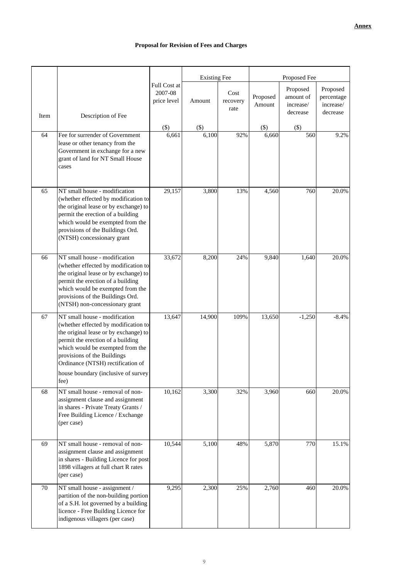|      |                                                                                                                                                                                                                                                                                                            |                                        | <b>Existing Fee</b> |                          | Proposed Fee       |                                                |                                                 |
|------|------------------------------------------------------------------------------------------------------------------------------------------------------------------------------------------------------------------------------------------------------------------------------------------------------------|----------------------------------------|---------------------|--------------------------|--------------------|------------------------------------------------|-------------------------------------------------|
| Item | Description of Fee                                                                                                                                                                                                                                                                                         | Full Cost at<br>2007-08<br>price level | Amount              | Cost<br>recovery<br>rate | Proposed<br>Amount | Proposed<br>amount of<br>increase/<br>decrease | Proposed<br>percentage<br>increase/<br>decrease |
|      |                                                                                                                                                                                                                                                                                                            | $($ \$                                 | $(\$)$              |                          | $(\$)$             | $($ \$)                                        |                                                 |
| 64   | Fee for surrender of Government<br>lease or other tenancy from the<br>Government in exchange for a new<br>grant of land for NT Small House<br>cases                                                                                                                                                        | 6,661                                  | 6,100               | 92%                      | 6,660              | 560                                            | 9.2%                                            |
| 65   | NT small house - modification<br>(whether effected by modification to<br>the original lease or by exchange) to<br>permit the erection of a building<br>which would be exempted from the<br>provisions of the Buildings Ord.<br>(NTSH) concessionary grant                                                  | 29,157                                 | 3,800               | 13%                      | 4,560              | 760                                            | 20.0%                                           |
| 66   | NT small house - modification<br>(whether effected by modification to<br>the original lease or by exchange) to<br>permit the erection of a building<br>which would be exempted from the<br>provisions of the Buildings Ord.<br>(NTSH) non-concessionary grant                                              | 33,672                                 | 8,200               | 24%                      | 9,840              | 1,640                                          | 20.0%                                           |
| 67   | NT small house - modification<br>(whether effected by modification to<br>the original lease or by exchange) to<br>permit the erection of a building<br>which would be exempted from the<br>provisions of the Buildings<br>Ordinance (NTSH) rectification of<br>house boundary (inclusive of survey<br>fee) | 13,647                                 | 14,900              | 109%                     | 13,650             | $-1,250$                                       | $-8.4%$                                         |
| 68   | NT small house - removal of non-<br>assignment clause and assignment<br>in shares - Private Treaty Grants /<br>Free Building Licence / Exchange<br>(per case)                                                                                                                                              | 10,162                                 | 3,300               | 32%                      | 3,960              | 660                                            | 20.0%                                           |
| 69   | NT small house - removal of non-<br>assignment clause and assignment<br>in shares - Building Licence for post<br>1898 villagers at full chart R rates<br>(per case)                                                                                                                                        | 10,544                                 | 5,100               | 48%                      | 5,870              | 770                                            | 15.1%                                           |
| 70   | NT small house - assignment /<br>partition of the non-building portion<br>of a S.H. lot governed by a building<br>licence - Free Building Licence for<br>indigenous villagers (per case)                                                                                                                   | 9,295                                  | 2,300               | 25%                      | 2,760              | 460                                            | 20.0%                                           |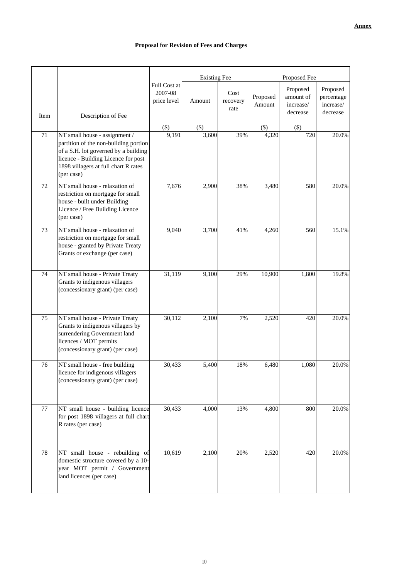|      |                                                                                                                                                                                                             |                                        | <b>Existing Fee</b> |                          | Proposed Fee       |                                                |                                                 |
|------|-------------------------------------------------------------------------------------------------------------------------------------------------------------------------------------------------------------|----------------------------------------|---------------------|--------------------------|--------------------|------------------------------------------------|-------------------------------------------------|
| Item | Description of Fee                                                                                                                                                                                          | Full Cost at<br>2007-08<br>price level | Amount              | Cost<br>recovery<br>rate | Proposed<br>Amount | Proposed<br>amount of<br>increase/<br>decrease | Proposed<br>percentage<br>increase/<br>decrease |
|      |                                                                                                                                                                                                             | $(\$)$                                 | $(\$)$              |                          | $(\$)$             | $($ \$)                                        |                                                 |
| 71   | NT small house - assignment /<br>partition of the non-building portion<br>of a S.H. lot governed by a building<br>licence - Building Licence for post<br>1898 villagers at full chart R rates<br>(per case) | 9,191                                  | 3,600               | 39%                      | 4,320              | 720                                            | 20.0%                                           |
| 72   | NT small house - relaxation of<br>restriction on mortgage for small<br>house - built under Building<br>Licence / Free Building Licence<br>(per case)                                                        | 7,676                                  | 2,900               | 38%                      | 3,480              | 580                                            | 20.0%                                           |
| 73   | NT small house - relaxation of<br>restriction on mortgage for small<br>house - granted by Private Treaty<br>Grants or exchange (per case)                                                                   | 9,040                                  | 3,700               | 41%                      | 4,260              | 560                                            | 15.1%                                           |
| 74   | NT small house - Private Treaty<br>Grants to indigenous villagers<br>(concessionary grant) (per case)                                                                                                       | 31,119                                 | 9,100               | 29%                      | 10,900             | 1,800                                          | 19.8%                                           |
| 75   | NT small house - Private Treaty<br>Grants to indigenous villagers by<br>surrendering Government land<br>licences / MOT permits<br>(concessionary grant) (per case)                                          | 30,112                                 | 2,100               | 7%                       | 2,520              | 420                                            | 20.0%                                           |
| 76   | NT small house - free building<br>licence for indigenous villagers<br>(concessionary grant) (per case)                                                                                                      | 30,433                                 | 5,400               | 18%                      | 6,480              | 1,080                                          | 20.0%                                           |
| 77   | NT small house - building licence<br>for post 1898 villagers at full chart<br>R rates (per case)                                                                                                            | 30,433                                 | 4,000               | 13%                      | 4,800              | 800                                            | 20.0%                                           |
| 78   | NT small house - rebuilding of<br>domestic structure covered by a 10-<br>year MOT permit / Government<br>land licences (per case)                                                                           | 10,619                                 | 2,100               | 20%                      | 2,520              | 420                                            | 20.0%                                           |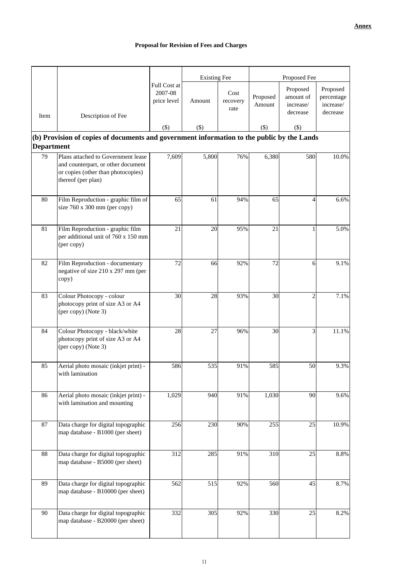|                   |                                                                                                                                      |                                        | <b>Existing Fee</b> |                          | Proposed Fee       |                                                |                                                 |
|-------------------|--------------------------------------------------------------------------------------------------------------------------------------|----------------------------------------|---------------------|--------------------------|--------------------|------------------------------------------------|-------------------------------------------------|
| Item              | Description of Fee                                                                                                                   | Full Cost at<br>2007-08<br>price level | Amount              | Cost<br>recovery<br>rate | Proposed<br>Amount | Proposed<br>amount of<br>increase/<br>decrease | Proposed<br>percentage<br>increase/<br>decrease |
|                   |                                                                                                                                      | $($ \$                                 | $($ \$              |                          | $(\$)$             | $($ \$)                                        |                                                 |
|                   | (b) Provision of copies of documents and government information to the public by the Lands                                           |                                        |                     |                          |                    |                                                |                                                 |
| <b>Department</b> |                                                                                                                                      |                                        |                     |                          |                    |                                                |                                                 |
| 79                | Plans attached to Government lease<br>and counterpart, or other document<br>or copies (other than photocopies)<br>thereof (per plan) | 7,609                                  | 5,800               | 76%                      | 6,380              | 580                                            | 10.0%                                           |
| 80                | Film Reproduction - graphic film of<br>size 760 x 300 mm (per copy)                                                                  | 65                                     | 61                  | 94%                      | 65                 | $\overline{4}$                                 | 6.6%                                            |
| 81                | Film Reproduction - graphic film<br>per additional unit of 760 x 150 mm<br>(per copy)                                                | 21                                     | 20                  | 95%                      | 21                 | $\mathbf{1}$                                   | 5.0%                                            |
| 82                | Film Reproduction - documentary<br>negative of size 210 x 297 mm (per<br>copy)                                                       | 72                                     | 66                  | 92%                      | 72                 | 6                                              | 9.1%                                            |
| 83                | Colour Photocopy - colour<br>photocopy print of size A3 or A4<br>(per copy) (Note 3)                                                 | 30                                     | 28                  | 93%                      | 30                 | $\overline{2}$                                 | 7.1%                                            |
| 84                | Colour Photocopy - black/white<br>photocopy print of size A3 or A4<br>(per copy) (Note 3)                                            | 28                                     | 27                  | 96%                      | 30                 | 3                                              | 11.1%                                           |
| 85                | Aerial photo mosaic (inkjet print) -<br>with lamination                                                                              | 586                                    | 535                 | 91%                      | 585                | 50                                             | 9.3%                                            |
| 86                | Aerial photo mosaic (inkjet print) -<br>with lamination and mounting                                                                 | 1,029                                  | 940                 | 91%                      | 1,030              | 90                                             | 9.6%                                            |
| 87                | Data charge for digital topographic<br>map database - B1000 (per sheet)                                                              | 256                                    | 230                 | 90%                      | 255                | 25                                             | 10.9%                                           |
| $88\,$            | Data charge for digital topographic<br>map database - B5000 (per sheet)                                                              | 312                                    | 285                 | 91%                      | 310                | 25                                             | $8.8\%$                                         |
| 89                | Data charge for digital topographic<br>map database - B10000 (per sheet)                                                             | 562                                    | 515                 | 92%                      | 560                | 45                                             | 8.7%                                            |
| 90                | Data charge for digital topographic<br>map database - B20000 (per sheet)                                                             | 332                                    | 305                 | 92%                      | 330                | 25                                             | 8.2%                                            |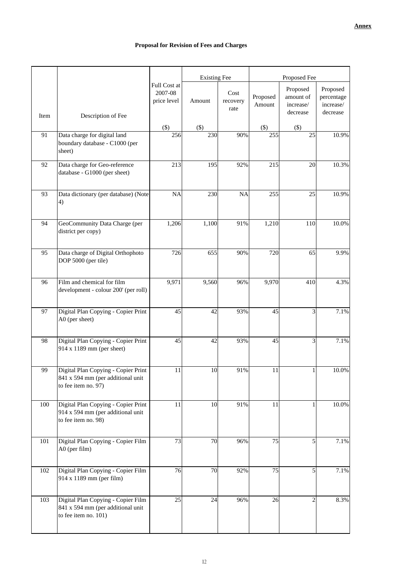|      |                                                                                                 |                                        | <b>Existing Fee</b> |                          |                    | Proposed Fee                                   |                                                 |  |
|------|-------------------------------------------------------------------------------------------------|----------------------------------------|---------------------|--------------------------|--------------------|------------------------------------------------|-------------------------------------------------|--|
| Item | Description of Fee                                                                              | Full Cost at<br>2007-08<br>price level | Amount              | Cost<br>recovery<br>rate | Proposed<br>Amount | Proposed<br>amount of<br>increase/<br>decrease | Proposed<br>percentage<br>increase/<br>decrease |  |
|      |                                                                                                 | $(\$)$                                 | $(\$)$              |                          | $(\$)$             | $($ \$)                                        |                                                 |  |
| 91   | Data charge for digital land<br>boundary database - C1000 (per<br>sheet)                        | 256                                    | 230                 | 90%                      | 255                | 25                                             | 10.9%                                           |  |
| 92   | Data charge for Geo-reference<br>database - G1000 (per sheet)                                   | 213                                    | 195                 | 92%                      | 215                | 20                                             | 10.3%                                           |  |
| 93   | Data dictionary (per database) (Note<br>4)                                                      | <b>NA</b>                              | 230                 | <b>NA</b>                | 255                | 25                                             | 10.9%                                           |  |
| 94   | GeoCommunity Data Charge (per<br>district per copy)                                             | 1,206                                  | 1,100               | 91%                      | 1,210              | 110                                            | 10.0%                                           |  |
| 95   | Data charge of Digital Orthophoto<br>DOP 5000 (per tile)                                        | 726                                    | 655                 | 90%                      | 720                | 65                                             | 9.9%                                            |  |
| 96   | Film and chemical for film<br>development - colour 200' (per roll)                              | 9,971                                  | 9,560               | 96%                      | 9,970              | 410                                            | 4.3%                                            |  |
| 97   | Digital Plan Copying - Copier Print<br>A0 (per sheet)                                           | 45                                     | 42                  | 93%                      | 45                 | 3                                              | 7.1%                                            |  |
| 98   | Digital Plan Copying - Copier Print<br>914 x 1189 mm (per sheet)                                | 45                                     | 42                  | 93%                      | 45                 | 3                                              | 7.1%                                            |  |
| 99   | Digital Plan Copying - Copier Print<br>841 x 594 mm (per additional unit<br>to fee item no. 97) | 11                                     | 10                  | 91%                      | 11                 | 1                                              | $10.0\%$                                        |  |
| 100  | Digital Plan Copying - Copier Print<br>914 x 594 mm (per additional unit<br>to fee item no. 98) | 11                                     | 10                  | 91%                      | 11                 | 1                                              | $10.0\%$                                        |  |
| 101  | Digital Plan Copying - Copier Film<br>A0 (per film)                                             | 73                                     | 70                  | 96%                      | 75                 | 5                                              | 7.1%                                            |  |
| 102  | Digital Plan Copying - Copier Film<br>914 x 1189 mm (per film)                                  | 76                                     | 70                  | 92%                      | 75                 | 5                                              | 7.1%                                            |  |
| 103  | Digital Plan Copying - Copier Film<br>841 x 594 mm (per additional unit<br>to fee item no. 101) | 25                                     | 24                  | 96%                      | 26                 | $\overline{c}$                                 | 8.3%                                            |  |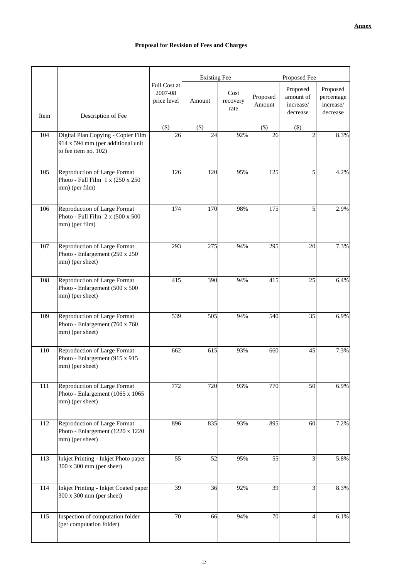|      |                                                                                                 |                                        | <b>Existing Fee</b> |                          | Proposed Fee       |                                                |                                                 |
|------|-------------------------------------------------------------------------------------------------|----------------------------------------|---------------------|--------------------------|--------------------|------------------------------------------------|-------------------------------------------------|
|      |                                                                                                 | Full Cost at<br>2007-08<br>price level | Amount              | Cost<br>recovery<br>rate | Proposed<br>Amount | Proposed<br>amount of<br>increase/<br>decrease | Proposed<br>percentage<br>increase/<br>decrease |
| Item | Description of Fee                                                                              | $(\$)$                                 | $(\$)$              |                          | $(\$)$             | $($ \$)                                        |                                                 |
| 104  | Digital Plan Copying - Copier Film<br>914 x 594 mm (per additional unit<br>to fee item no. 102) | 26                                     | 24                  | 92%                      | 26                 | $\overline{2}$                                 | 8.3%                                            |
| 105  | Reproduction of Large Format<br>Photo - Full Film 1 x (250 x 250<br>mm) (per film)              | 126                                    | 120                 | 95%                      | 125                | 5                                              | 4.2%                                            |
| 106  | Reproduction of Large Format<br>Photo - Full Film $2 \times (500 \times 500$<br>mm) (per film)  | 174                                    | 170                 | 98%                      | 175                | 5                                              | 2.9%                                            |
| 107  | <b>Reproduction of Large Format</b><br>Photo - Enlargement (250 x 250<br>mm) (per sheet)        | 293                                    | 275                 | 94%                      | 295                | 20                                             | 7.3%                                            |
| 108  | Reproduction of Large Format<br>Photo - Enlargement (500 x 500<br>mm) (per sheet)               | 415                                    | 390                 | 94%                      | 415                | 25                                             | 6.4%                                            |
| 109  | Reproduction of Large Format<br>Photo - Enlargement (760 x 760<br>mm) (per sheet)               | 539                                    | 505                 | 94%                      | 540                | 35                                             | 6.9%                                            |
| 110  | Reproduction of Large Format<br>Photo - Enlargement (915 x 915<br>mm) (per sheet)               | 662                                    | 615                 | 93%                      | 660                | 45                                             | 7.3%                                            |
| 111  | <b>Reproduction of Large Format</b><br>Photo - Enlargement (1065 x 1065<br>mm) (per sheet)      | 772                                    | 720                 | 93%                      | 770                | 50                                             | 6.9%                                            |
| 112  | Reproduction of Large Format<br>Photo - Enlargement (1220 x 1220<br>mm) (per sheet)             | 896                                    | 835                 | 93%                      | 895                | 60                                             | 7.2%                                            |
| 113  | Inkjet Printing - Inkjet Photo paper<br>300 x 300 mm (per sheet)                                | 55                                     | 52                  | 95%                      | 55                 | 3                                              | 5.8%                                            |
| 114  | <b>Inkjet Printing - Inkjet Coated paper</b><br>300 x 300 mm (per sheet)                        | 39                                     | 36                  | 92%                      | 39                 | 3                                              | 8.3%                                            |
| 115  | Inspection of computation folder<br>(per computation folder)                                    | 70                                     | 66                  | 94%                      | 70                 | 4                                              | 6.1%                                            |